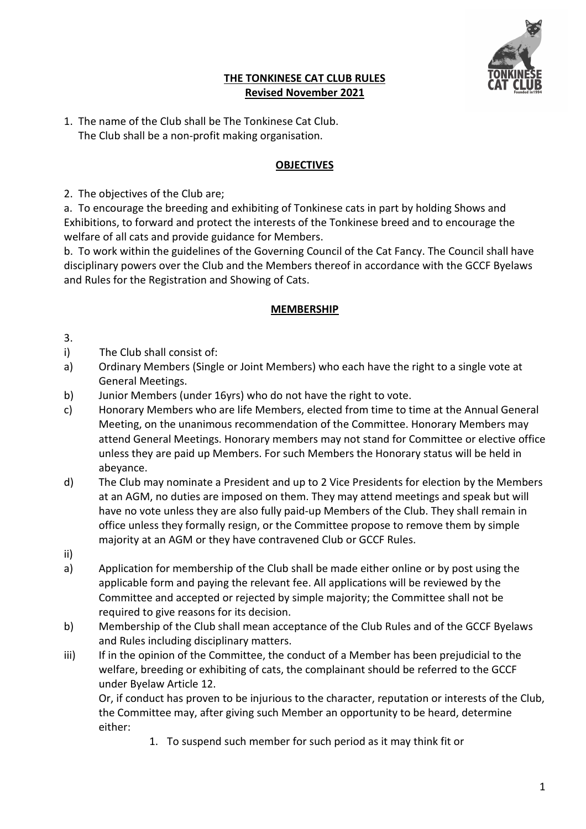

### **THE TONKINESE CAT CLUB RULES Revised November 2021**

1. The name of the Club shall be The Tonkinese Cat Club. The Club shall be a non-profit making organisation.

## **OBJECTIVES**

2. The objectives of the Club are;

a. To encourage the breeding and exhibiting of Tonkinese cats in part by holding Shows and Exhibitions, to forward and protect the interests of the Tonkinese breed and to encourage the welfare of all cats and provide guidance for Members.

b. To work within the guidelines of the Governing Council of the Cat Fancy. The Council shall have disciplinary powers over the Club and the Members thereof in accordance with the GCCF Byelaws and Rules for the Registration and Showing of Cats.

### **MEMBERSHIP**

3.

- i) The Club shall consist of:
- a) Ordinary Members (Single or Joint Members) who each have the right to a single vote at General Meetings.
- b) Junior Members (under 16yrs) who do not have the right to vote.
- c) Honorary Members who are life Members, elected from time to time at the Annual General Meeting, on the unanimous recommendation of the Committee. Honorary Members may attend General Meetings. Honorary members may not stand for Committee or elective office unless they are paid up Members. For such Members the Honorary status will be held in abeyance.
- d) The Club may nominate a President and up to 2 Vice Presidents for election by the Members at an AGM, no duties are imposed on them. They may attend meetings and speak but will have no vote unless they are also fully paid-up Members of the Club. They shall remain in office unless they formally resign, or the Committee propose to remove them by simple majority at an AGM or they have contravened Club or GCCF Rules.
- ii)
- a) Application for membership of the Club shall be made either online or by post using the applicable form and paying the relevant fee. All applications will be reviewed by the Committee and accepted or rejected by simple majority; the Committee shall not be required to give reasons for its decision.
- b) Membership of the Club shall mean acceptance of the Club Rules and of the GCCF Byelaws and Rules including disciplinary matters.
- iii) If in the opinion of the Committee, the conduct of a Member has been prejudicial to the welfare, breeding or exhibiting of cats, the complainant should be referred to the GCCF under Byelaw Article 12.

Or, if conduct has proven to be injurious to the character, reputation or interests of the Club, the Committee may, after giving such Member an opportunity to be heard, determine either:

1. To suspend such member for such period as it may think fit or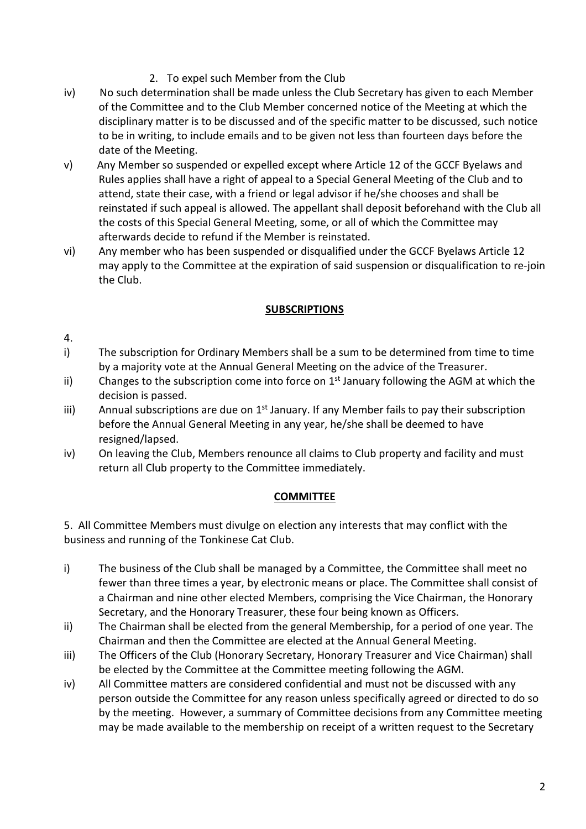- 2. To expel such Member from the Club
- iv) No such determination shall be made unless the Club Secretary has given to each Member of the Committee and to the Club Member concerned notice of the Meeting at which the disciplinary matter is to be discussed and of the specific matter to be discussed, such notice to be in writing, to include emails and to be given not less than fourteen days before the date of the Meeting.
- v) Any Member so suspended or expelled except where Article 12 of the GCCF Byelaws and Rules applies shall have a right of appeal to a Special General Meeting of the Club and to attend, state their case, with a friend or legal advisor if he/she chooses and shall be reinstated if such appeal is allowed. The appellant shall deposit beforehand with the Club all the costs of this Special General Meeting, some, or all of which the Committee may afterwards decide to refund if the Member is reinstated.
- vi) Any member who has been suspended or disqualified under the GCCF Byelaws Article 12 may apply to the Committee at the expiration of said suspension or disqualification to re-join the Club.

#### **SUBSCRIPTIONS**

- 4.
- i) The subscription for Ordinary Members shall be a sum to be determined from time to time by a majority vote at the Annual General Meeting on the advice of the Treasurer.
- ii) Changes to the subscription come into force on  $1<sup>st</sup>$  January following the AGM at which the decision is passed.
- iii) Annual subscriptions are due on  $1<sup>st</sup>$  January. If any Member fails to pay their subscription before the Annual General Meeting in any year, he/she shall be deemed to have resigned/lapsed.
- iv) On leaving the Club, Members renounce all claims to Club property and facility and must return all Club property to the Committee immediately.

#### **COMMITTEE**

5. All Committee Members must divulge on election any interests that may conflict with the business and running of the Tonkinese Cat Club.

- i) The business of the Club shall be managed by a Committee, the Committee shall meet no fewer than three times a year, by electronic means or place. The Committee shall consist of a Chairman and nine other elected Members, comprising the Vice Chairman, the Honorary Secretary, and the Honorary Treasurer, these four being known as Officers.
- ii) The Chairman shall be elected from the general Membership, for a period of one year. The Chairman and then the Committee are elected at the Annual General Meeting.
- iii) The Officers of the Club (Honorary Secretary, Honorary Treasurer and Vice Chairman) shall be elected by the Committee at the Committee meeting following the AGM.
- iv) All Committee matters are considered confidential and must not be discussed with any person outside the Committee for any reason unless specifically agreed or directed to do so by the meeting. However, a summary of Committee decisions from any Committee meeting may be made available to the membership on receipt of a written request to the Secretary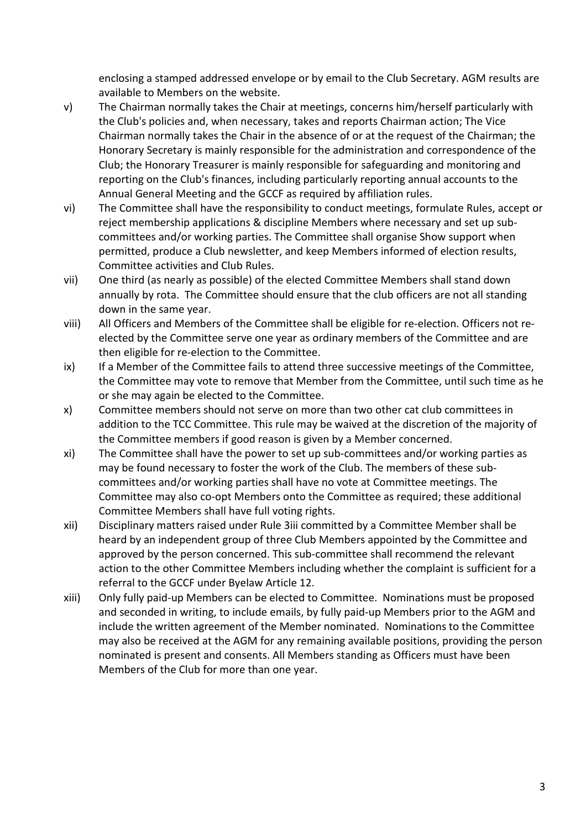enclosing a stamped addressed envelope or by email to the Club Secretary. AGM results are available to Members on the website.

- v) The Chairman normally takes the Chair at meetings, concerns him/herself particularly with the Club's policies and, when necessary, takes and reports Chairman action; The Vice Chairman normally takes the Chair in the absence of or at the request of the Chairman; the Honorary Secretary is mainly responsible for the administration and correspondence of the Club; the Honorary Treasurer is mainly responsible for safeguarding and monitoring and reporting on the Club's finances, including particularly reporting annual accounts to the Annual General Meeting and the GCCF as required by affiliation rules.
- vi) The Committee shall have the responsibility to conduct meetings, formulate Rules, accept or reject membership applications & discipline Members where necessary and set up subcommittees and/or working parties. The Committee shall organise Show support when permitted, produce a Club newsletter, and keep Members informed of election results, Committee activities and Club Rules.
- vii) One third (as nearly as possible) of the elected Committee Members shall stand down annually by rota. The Committee should ensure that the club officers are not all standing down in the same year.
- viii) All Officers and Members of the Committee shall be eligible for re-election. Officers not reelected by the Committee serve one year as ordinary members of the Committee and are then eligible for re-election to the Committee.
- ix) If a Member of the Committee fails to attend three successive meetings of the Committee, the Committee may vote to remove that Member from the Committee, until such time as he or she may again be elected to the Committee.
- x) Committee members should not serve on more than two other cat club committees in addition to the TCC Committee. This rule may be waived at the discretion of the majority of the Committee members if good reason is given by a Member concerned.
- xi) The Committee shall have the power to set up sub-committees and/or working parties as may be found necessary to foster the work of the Club. The members of these subcommittees and/or working parties shall have no vote at Committee meetings. The Committee may also co-opt Members onto the Committee as required; these additional Committee Members shall have full voting rights.
- xii) Disciplinary matters raised under Rule 3iii committed by a Committee Member shall be heard by an independent group of three Club Members appointed by the Committee and approved by the person concerned. This sub-committee shall recommend the relevant action to the other Committee Members including whether the complaint is sufficient for a referral to the GCCF under Byelaw Article 12.
- xiii) Only fully paid-up Members can be elected to Committee. Nominations must be proposed and seconded in writing, to include emails, by fully paid-up Members prior to the AGM and include the written agreement of the Member nominated. Nominations to the Committee may also be received at the AGM for any remaining available positions, providing the person nominated is present and consents. All Members standing as Officers must have been Members of the Club for more than one year.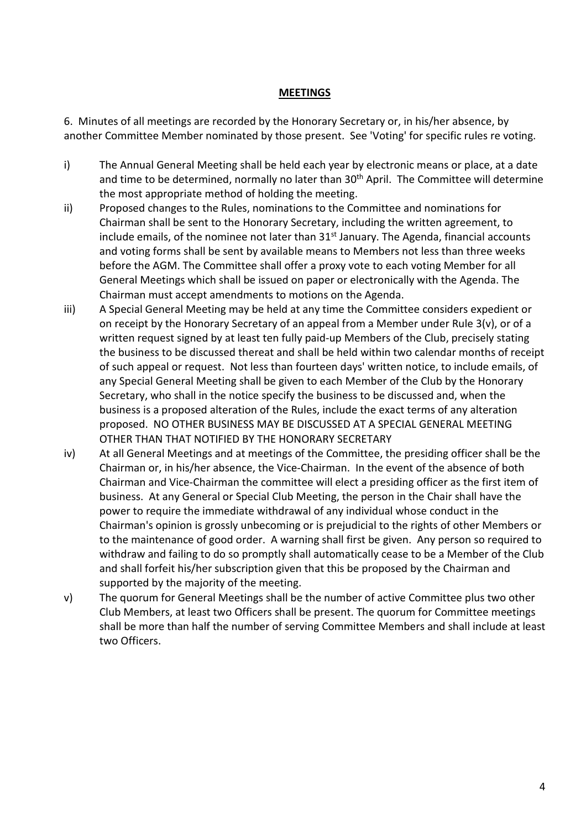#### **MEETINGS**

6. Minutes of all meetings are recorded by the Honorary Secretary or, in his/her absence, by another Committee Member nominated by those present. See 'Voting' for specific rules re voting.

- i) The Annual General Meeting shall be held each year by electronic means or place, at a date and time to be determined, normally no later than 30<sup>th</sup> April. The Committee will determine the most appropriate method of holding the meeting.
- ii) Proposed changes to the Rules, nominations to the Committee and nominations for Chairman shall be sent to the Honorary Secretary, including the written agreement, to include emails, of the nominee not later than 31<sup>st</sup> January. The Agenda, financial accounts and voting forms shall be sent by available means to Members not less than three weeks before the AGM. The Committee shall offer a proxy vote to each voting Member for all General Meetings which shall be issued on paper or electronically with the Agenda. The Chairman must accept amendments to motions on the Agenda.
- iii) A Special General Meeting may be held at any time the Committee considers expedient or on receipt by the Honorary Secretary of an appeal from a Member under Rule 3(v), or of a written request signed by at least ten fully paid-up Members of the Club, precisely stating the business to be discussed thereat and shall be held within two calendar months of receipt of such appeal or request. Not less than fourteen days' written notice, to include emails, of any Special General Meeting shall be given to each Member of the Club by the Honorary Secretary, who shall in the notice specify the business to be discussed and, when the business is a proposed alteration of the Rules, include the exact terms of any alteration proposed. NO OTHER BUSINESS MAY BE DISCUSSED AT A SPECIAL GENERAL MEETING OTHER THAN THAT NOTIFIED BY THE HONORARY SECRETARY
- iv) At all General Meetings and at meetings of the Committee, the presiding officer shall be the Chairman or, in his/her absence, the Vice-Chairman. In the event of the absence of both Chairman and Vice-Chairman the committee will elect a presiding officer as the first item of business. At any General or Special Club Meeting, the person in the Chair shall have the power to require the immediate withdrawal of any individual whose conduct in the Chairman's opinion is grossly unbecoming or is prejudicial to the rights of other Members or to the maintenance of good order. A warning shall first be given. Any person so required to withdraw and failing to do so promptly shall automatically cease to be a Member of the Club and shall forfeit his/her subscription given that this be proposed by the Chairman and supported by the majority of the meeting.
- v) The quorum for General Meetings shall be the number of active Committee plus two other Club Members, at least two Officers shall be present. The quorum for Committee meetings shall be more than half the number of serving Committee Members and shall include at least two Officers.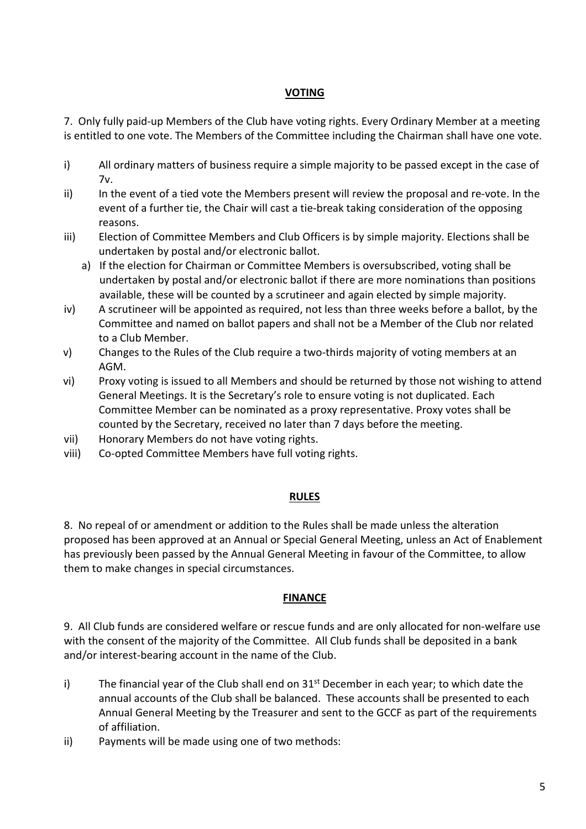### **VOTING**

7. Only fully paid-up Members of the Club have voting rights. Every Ordinary Member at a meeting is entitled to one vote. The Members of the Committee including the Chairman shall have one vote.

- i) All ordinary matters of business require a simple majority to be passed except in the case of 7v.
- ii) In the event of a tied vote the Members present will review the proposal and re-vote. In the event of a further tie, the Chair will cast a tie-break taking consideration of the opposing reasons.
- iii) Election of Committee Members and Club Officers is by simple majority. Elections shall be undertaken by postal and/or electronic ballot.
	- a) If the election for Chairman or Committee Members is oversubscribed, voting shall be undertaken by postal and/or electronic ballot if there are more nominations than positions available, these will be counted by a scrutineer and again elected by simple majority.
- iv) A scrutineer will be appointed as required, not less than three weeks before a ballot, by the Committee and named on ballot papers and shall not be a Member of the Club nor related to a Club Member.
- v) Changes to the Rules of the Club require a two-thirds majority of voting members at an AGM.
- vi) Proxy voting is issued to all Members and should be returned by those not wishing to attend General Meetings. It is the Secretary's role to ensure voting is not duplicated. Each Committee Member can be nominated as a proxy representative. Proxy votes shall be counted by the Secretary, received no later than 7 days before the meeting.
- vii) Honorary Members do not have voting rights.
- viii) Co-opted Committee Members have full voting rights.

#### **RULES**

8. No repeal of or amendment or addition to the Rules shall be made unless the alteration proposed has been approved at an Annual or Special General Meeting, unless an Act of Enablement has previously been passed by the Annual General Meeting in favour of the Committee, to allow them to make changes in special circumstances.

#### **FINANCE**

9. All Club funds are considered welfare or rescue funds and are only allocated for non-welfare use with the consent of the majority of the Committee. All Club funds shall be deposited in a bank and/or interest-bearing account in the name of the Club.

- i) The financial year of the Club shall end on  $31<sup>st</sup>$  December in each year; to which date the annual accounts of the Club shall be balanced. These accounts shall be presented to each Annual General Meeting by the Treasurer and sent to the GCCF as part of the requirements of affiliation.
- ii) Payments will be made using one of two methods: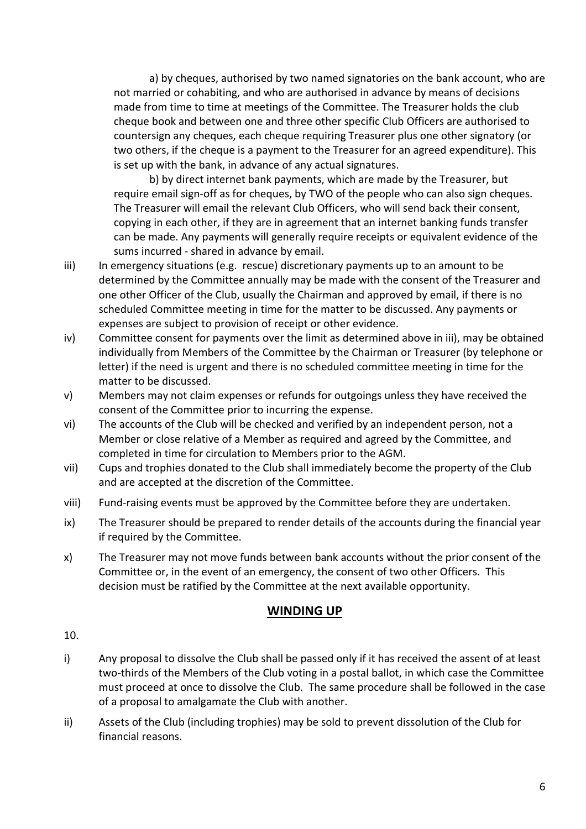a) by cheques, authorised by two named signatories on the bank account, who are not married or cohabiting, and who are authorised in advance by means of decisions made from time to time at meetings of the Committee. The Treasurer holds the club cheque book and between one and three other specific Club Officers are authorised to countersign any cheques, each cheque requiring Treasurer plus one other signatory (or two others, if the cheque is a payment to the Treasurer for an agreed expenditure). This is set up with the bank, in advance of any actual signatures.

b) by direct internet bank payments, which are made by the Treasurer, but require email sign-off as for cheques, by TWO of the people who can also sign cheques. The Treasurer will email the relevant Club Officers, who will send back their consent, copying in each other, if they are in agreement that an internet banking funds transfer can be made. Any payments will generally require receipts or equivalent evidence of the sums incurred - shared in advance by email.

- iii) In emergency situations (e.g. rescue) discretionary payments up to an amount to be determined by the Committee annually may be made with the consent of the Treasurer and one other Officer of the Club, usually the Chairman and approved by email, if there is no scheduled Committee meeting in time for the matter to be discussed. Any payments or expenses are subject to provision of receipt or other evidence.
- iv) Committee consent for payments over the limit as determined above in iii), may be obtained individually from Members of the Committee by the Chairman or Treasurer (by telephone or letter) if the need is urgent and there is no scheduled committee meeting in time for the matter to be discussed.
- v) Members may not claim expenses or refunds for outgoings unless they have received the consent of the Committee prior to incurring the expense.
- vi) The accounts of the Club will be checked and verified by an independent person, not a Member or close relative of a Member as required and agreed by the Committee, and completed in time for circulation to Members prior to the AGM.
- vii) Cups and trophies donated to the Club shall immediately become the property of the Club and are accepted at the discretion of the Committee.
- viii) Fund-raising events must be approved by the Committee before they are undertaken.
- ix) The Treasurer should be prepared to render details of the accounts during the financial year if required by the Committee.
- x) The Treasurer may not move funds between bank accounts without the prior consent of the Committee or, in the event of an emergency, the consent of two other Officers. This decision must be ratified by the Committee at the next available opportunity.

# **WINDING UP**

10.

- i) Any proposal to dissolve the Club shall be passed only if it has received the assent of at least two-thirds of the Members of the Club voting in a postal ballot, in which case the Committee must proceed at once to dissolve the Club. The same procedure shall be followed in the case of a proposal to amalgamate the Club with another.
- ii) Assets of the Club (including trophies) may be sold to prevent dissolution of the Club for financial reasons.